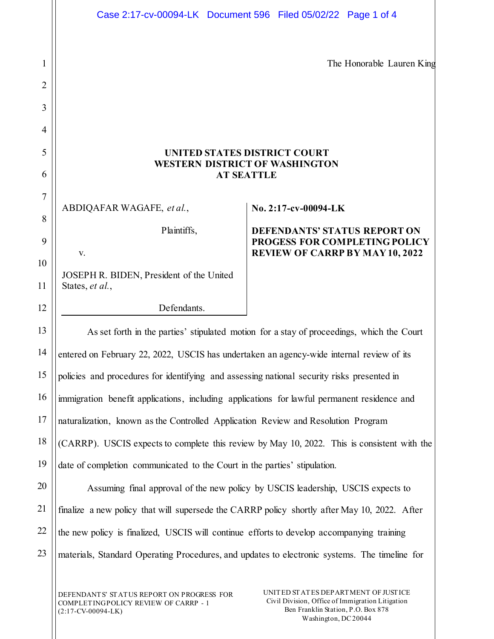|                | Case 2:17-cv-00094-LK Document 596 Filed 05/02/22 Page 1 of 4                               |  |                      |                                        |  |  |
|----------------|---------------------------------------------------------------------------------------------|--|----------------------|----------------------------------------|--|--|
|                |                                                                                             |  |                      |                                        |  |  |
| 1              |                                                                                             |  |                      | The Honorable Lauren King              |  |  |
| 2              |                                                                                             |  |                      |                                        |  |  |
| 3              |                                                                                             |  |                      |                                        |  |  |
| $\overline{4}$ |                                                                                             |  |                      |                                        |  |  |
| 5              | UNITED STATES DISTRICT COURT<br><b>WESTERN DISTRICT OF WASHINGTON</b>                       |  |                      |                                        |  |  |
| 6              | <b>AT SEATTLE</b>                                                                           |  |                      |                                        |  |  |
| $\overline{7}$ | ABDIQAFAR WAGAFE, et al.,                                                                   |  | No. 2:17-cv-00094-LK |                                        |  |  |
| 8              | Plaintiffs,                                                                                 |  |                      | <b>DEFENDANTS' STATUS REPORT ON</b>    |  |  |
| 9              |                                                                                             |  |                      | PROGESS FOR COMPLETING POLICY          |  |  |
| 10             | V.                                                                                          |  |                      | <b>REVIEW OF CARRP BY MAY 10, 2022</b> |  |  |
| 11             | JOSEPH R. BIDEN, President of the United<br>States, et al.,                                 |  |                      |                                        |  |  |
| 12             | Defendants.                                                                                 |  |                      |                                        |  |  |
| 13             | As set forth in the parties' stipulated motion for a stay of proceedings, which the Court   |  |                      |                                        |  |  |
| 14             | entered on February 22, 2022, USCIS has undertaken an agency-wide internal review of its    |  |                      |                                        |  |  |
| 15             | policies and procedures for identifying and assessing national security risks presented in  |  |                      |                                        |  |  |
| 16             | immigration benefit applications, including applications for lawful permanent residence and |  |                      |                                        |  |  |
| 17             | naturalization, known as the Controlled Application Review and Resolution Program           |  |                      |                                        |  |  |
| 18             | (CARRP). USCIS expects to complete this review by May 10, 2022. This is consistent with the |  |                      |                                        |  |  |
| 19             | date of completion communicated to the Court in the parties' stipulation.                   |  |                      |                                        |  |  |
| 20             | Assuming final approval of the new policy by USCIS leadership, USCIS expects to             |  |                      |                                        |  |  |

22 23 finalize a new policy that will supersede the CARRP policy shortly after May 10, 2022. After the new policy is finalized, USCIS will continue efforts to develop accompanying training materials, Standard Operating Procedures, and updates to electronic systems. The timeline for

21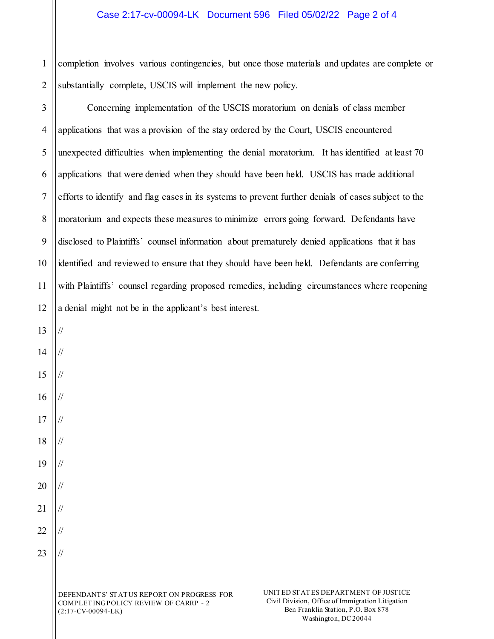## Case 2:17-cv-00094-LK Document 596 Filed 05/02/22 Page 2 of 4

1 2 completion involves various contingencies, but once those materials and updates are complete or substantially complete, USCIS will implement the new policy.

3 4 5 6 7 8 9 10 11 Concerning implementation of the USCIS moratorium on denials of class member applications that was a provision of the stay ordered by the Court, USCIS encountered unexpected difficulties when implementing the denial moratorium. It has identified at least 70 applications that were denied when they should have been held. USCIS has made additional efforts to identify and flag cases in its systems to prevent further denials of cases subject to the moratorium and expects these measures to minimize errors going forward. Defendants have disclosed to Plaintiffs' counsel information about prematurely denied applications that it has identified and reviewed to ensure that they should have been held. Defendants are conferring with Plaintiffs' counsel regarding proposed remedies, including circumstances where reopening a denial might not be in the applicant's best interest.

//

//

//

//

//

//

//

//

//

//

//

DEFENDANTS' STATUS REPORT ON PROGRESS FOR COMPLETING POLICY REVIEW OF CARRP - 2 (2:17-CV-00094-LK)

UNITED STATES DEPARTMENT OF JUSTICE Civil Division, Office of Immigration Litigation Ben Franklin Station, P.O. Box 878 Washington, DC 20044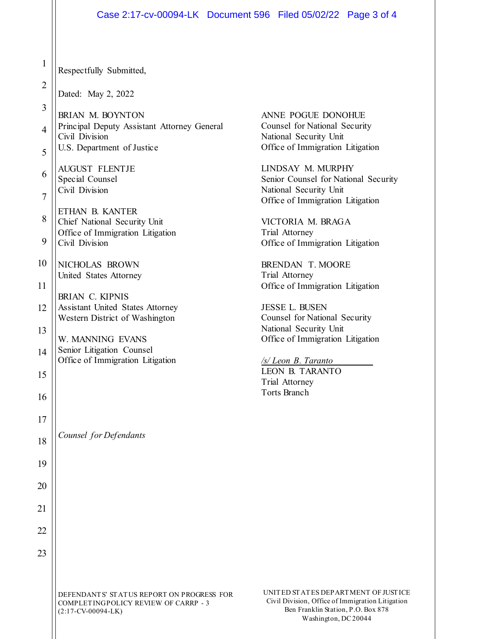| $\mathbf{1}$   | Respectfully Submitted,                                            |
|----------------|--------------------------------------------------------------------|
| $\overline{2}$ | Dated: May 2, 2022                                                 |
| 3              | BRIAN M. BOYNTON                                                   |
| $\overline{4}$ | Principal Deputy Assistant Attorney General<br>Civil Division      |
| 5              | U.S. Department of Justice                                         |
| 6              | <b>AUGUST FLENTJE</b><br>Special Counsel                           |
| $\overline{7}$ | Civil Division                                                     |
| 8              | ETHAN B. KANTER<br>Chief National Security Unit                    |
| 9              | Office of Immigration Litigation<br>Civil Division                 |
| 10             | NICHOLAS BROWN<br>United States Attorney                           |
| 11             | <b>BRIAN C. KIPNIS</b>                                             |
| 12             | Assistant United States Attorney<br>Western District of Washington |
| 13             | W. MANNING EVANS                                                   |
| 14             | Senior Litigation Counsel<br>Office of Immigration Litigation      |
| 15             |                                                                    |
| 16             |                                                                    |
| 17             |                                                                    |
| 18             | Counsel for Defendants                                             |
| 19             |                                                                    |
| 20             |                                                                    |
| 21             |                                                                    |
| 22             |                                                                    |
| 23             |                                                                    |
|                |                                                                    |
|                |                                                                    |

ANNE POGUE DONOHUE Counsel for National Security National Security Unit Office of Immigration Litigation

LINDSAY M. MURPHY Senior Counsel for National Security National Security Unit Office of Immigration Litigation

VICTORIA M. BRAGA Trial Attorney Office of Immigration Litigation

BRENDAN T. MOORE Trial Attorney Office of Immigration Litigation

JESSE L. BUSEN Counsel for National Security National Security Unit Office of Immigration Litigation

*/s/ Leon B. Taranto*  LEON B. TARANTO Trial Attorney Torts Branch